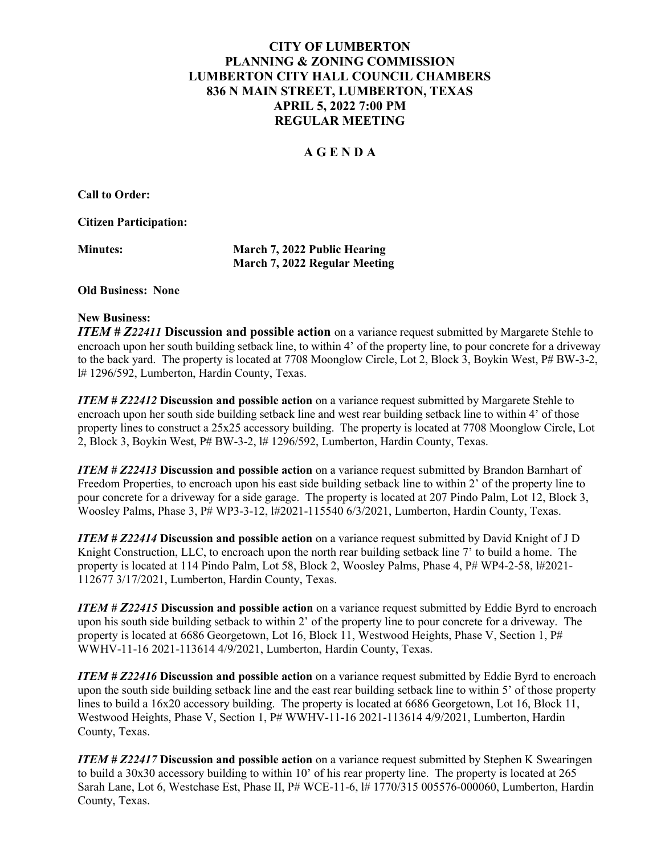# CITY OF LUMBERTON PLANNING & ZONING COMMISSION LUMBERTON CITY HALL COUNCIL CHAMBERS 836 N MAIN STREET, LUMBERTON, TEXAS APRIL 5, 2022 7:00 PM REGULAR MEETING

# A G E N D A

Call to Order:

Citizen Participation:

Minutes: March 7, 2022 Public Hearing March 7, 2022 Regular Meeting

#### Old Business: None

#### New Business:

ITEM # Z22411 Discussion and possible action on a variance request submitted by Margarete Stehle to encroach upon her south building setback line, to within 4' of the property line, to pour concrete for a driveway to the back yard. The property is located at 7708 Moonglow Circle, Lot 2, Block 3, Boykin West, P# BW-3-2, l# 1296/592, Lumberton, Hardin County, Texas.

**ITEM # Z22412 Discussion and possible action** on a variance request submitted by Margarete Stehle to encroach upon her south side building setback line and west rear building setback line to within 4' of those property lines to construct a 25x25 accessory building. The property is located at 7708 Moonglow Circle, Lot 2. Block 3, Boykin West,  $P# BW-3-2$ ,  $H1296/592$ , Lumberton, Hardin County, Texas.

ITEM # Z22413 Discussion and possible action on a variance request submitted by Brandon Barnhart of Freedom Properties, to encroach upon his east side building setback line to within 2' of the property line to pour concrete for a driveway for a side garage. The property is located at 207 Pindo Palm, Lot 12, Block 3, Woosley Palms, Phase 3, P# WP3-3-12, l#2021-115540 6/3/2021, Lumberton, Hardin County, Texas.

**ITEM # Z22414 Discussion and possible action** on a variance request submitted by David Knight of J D Knight Construction, LLC, to encroach upon the north rear building setback line 7' to build a home. The property is located at 114 Pindo Palm, Lot 58, Block 2, Woosley Palms, Phase 4, P# WP4-2-58, l#2021- 112677 3/17/2021, Lumberton, Hardin County, Texas.

ITEM # Z22415 Discussion and possible action on a variance request submitted by Eddie Byrd to encroach upon his south side building setback to within 2' of the property line to pour concrete for a driveway. The property is located at 6686 Georgetown, Lot 16, Block 11, Westwood Heights, Phase V, Section 1, P# WWHV-11-16 2021-113614 4/9/2021, Lumberton, Hardin County, Texas.

ITEM # Z22416 Discussion and possible action on a variance request submitted by Eddie Byrd to encroach upon the south side building setback line and the east rear building setback line to within 5' of those property lines to build a 16x20 accessory building. The property is located at 6686 Georgetown, Lot 16, Block 11, Westwood Heights, Phase V, Section 1, P# WWHV-11-16 2021-113614 4/9/2021, Lumberton, Hardin County, Texas.

ITEM # Z22417 Discussion and possible action on a variance request submitted by Stephen K Swearingen to build a 30x30 accessory building to within 10' of his rear property line. The property is located at 265 Sarah Lane, Lot 6, Westchase Est, Phase II, P# WCE-11-6, l# 1770/315 005576-000060, Lumberton, Hardin County, Texas.